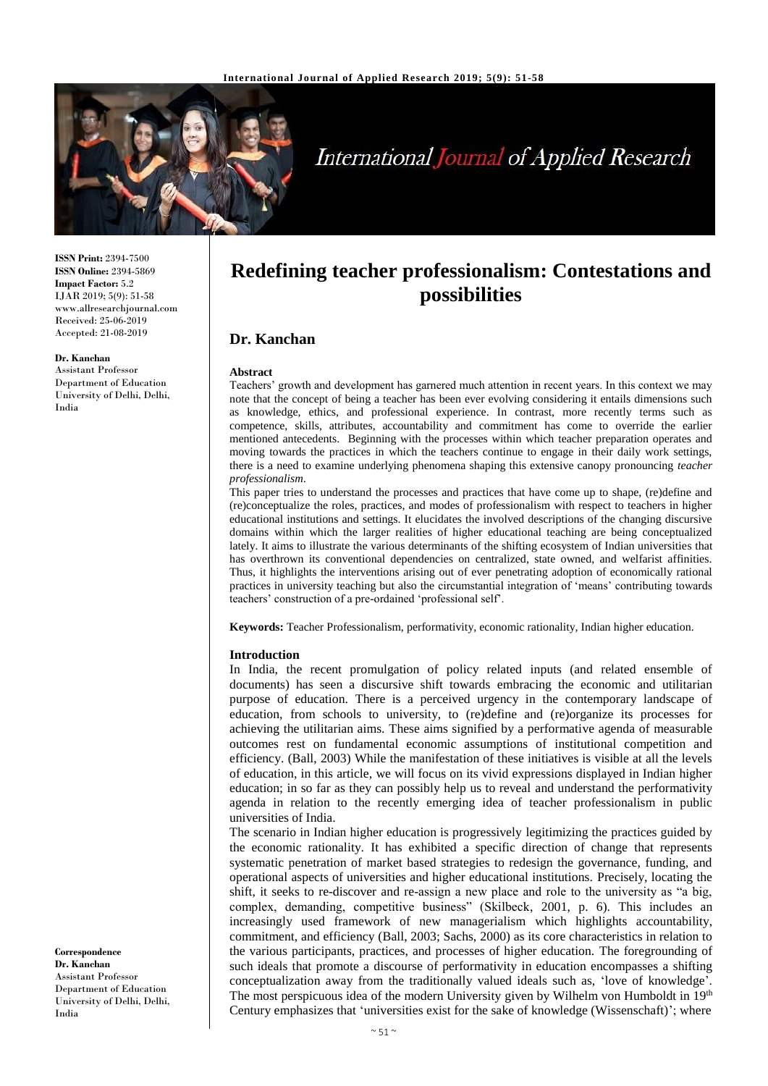

# **International Journal of Applied Research**

**ISSN Print:** 2394-7500 **ISSN Online:** 2394-5869 **Impact Factor:** 5.2 IJAR 2019; 5(9): 51-58 www.allresearchjournal.com Received: 25-06-2019 Accepted: 21-08-2019

#### **Dr. Kanchan**

Assistant Professor Department of Education University of Delhi, Delhi, India

**Redefining teacher professionalism: Contestations and possibilities**

# **Dr. Kanchan**

#### **Abstract**

Teachers' growth and development has garnered much attention in recent years. In this context we may note that the concept of being a teacher has been ever evolving considering it entails dimensions such as knowledge, ethics, and professional experience. In contrast, more recently terms such as competence, skills, attributes, accountability and commitment has come to override the earlier mentioned antecedents. Beginning with the processes within which teacher preparation operates and moving towards the practices in which the teachers continue to engage in their daily work settings, there is a need to examine underlying phenomena shaping this extensive canopy pronouncing *teacher professionalism*.

This paper tries to understand the processes and practices that have come up to shape, (re)define and (re)conceptualize the roles, practices, and modes of professionalism with respect to teachers in higher educational institutions and settings. It elucidates the involved descriptions of the changing discursive domains within which the larger realities of higher educational teaching are being conceptualized lately. It aims to illustrate the various determinants of the shifting ecosystem of Indian universities that has overthrown its conventional dependencies on centralized, state owned, and welfarist affinities. Thus, it highlights the interventions arising out of ever penetrating adoption of economically rational practices in university teaching but also the circumstantial integration of 'means' contributing towards teachers' construction of a pre-ordained 'professional self'.

**Keywords:** Teacher Professionalism, performativity, economic rationality, Indian higher education.

#### **Introduction**

In India, the recent promulgation of policy related inputs (and related ensemble of documents) has seen a discursive shift towards embracing the economic and utilitarian purpose of education. There is a perceived urgency in the contemporary landscape of education, from schools to university, to (re)define and (re)organize its processes for achieving the utilitarian aims. These aims signified by a performative agenda of measurable outcomes rest on fundamental economic assumptions of institutional competition and efficiency. (Ball, 2003) While the manifestation of these initiatives is visible at all the levels of education, in this article, we will focus on its vivid expressions displayed in Indian higher education; in so far as they can possibly help us to reveal and understand the performativity agenda in relation to the recently emerging idea of teacher professionalism in public universities of India.

The scenario in Indian higher education is progressively legitimizing the practices guided by the economic rationality. It has exhibited a specific direction of change that represents systematic penetration of market based strategies to redesign the governance, funding, and operational aspects of universities and higher educational institutions. Precisely, locating the shift, it seeks to re-discover and re-assign a new place and role to the university as "a big, complex, demanding, competitive business" (Skilbeck, 2001, p. 6). This includes an increasingly used framework of new managerialism which highlights accountability, commitment, and efficiency (Ball, 2003; Sachs, 2000) as its core characteristics in relation to the various participants, practices, and processes of higher education. The foregrounding of such ideals that promote a discourse of performativity in education encompasses a shifting conceptualization away from the traditionally valued ideals such as, 'love of knowledge'. The most perspicuous idea of the modern University given by Wilhelm von Humboldt in 19th Century emphasizes that 'universities exist for the sake of knowledge (Wissenschaft)'; where

**Correspondence Dr. Kanchan** Assistant Professor Department of Education University of Delhi, Delhi, India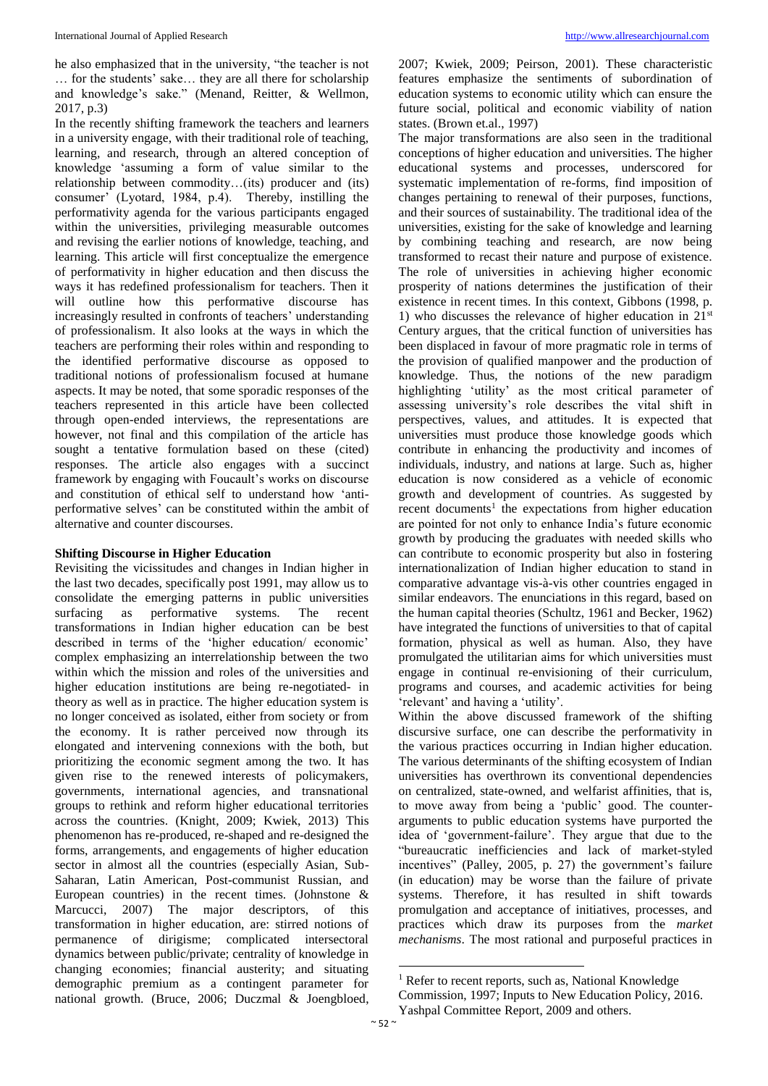he also emphasized that in the university, "the teacher is not … for the students' sake… they are all there for scholarship and knowledge's sake." (Menand, Reitter, & Wellmon, 2017, p.3)

In the recently shifting framework the teachers and learners in a university engage, with their traditional role of teaching, learning, and research, through an altered conception of knowledge 'assuming a form of value similar to the relationship between commodity…(its) producer and (its) consumer' (Lyotard, 1984, p.4). Thereby, instilling the performativity agenda for the various participants engaged within the universities, privileging measurable outcomes and revising the earlier notions of knowledge, teaching, and learning. This article will first conceptualize the emergence of performativity in higher education and then discuss the ways it has redefined professionalism for teachers. Then it will outline how this performative discourse has increasingly resulted in confronts of teachers' understanding of professionalism. It also looks at the ways in which the teachers are performing their roles within and responding to the identified performative discourse as opposed to traditional notions of professionalism focused at humane aspects. It may be noted, that some sporadic responses of the teachers represented in this article have been collected through open-ended interviews, the representations are however, not final and this compilation of the article has sought a tentative formulation based on these (cited) responses. The article also engages with a succinct framework by engaging with Foucault's works on discourse and constitution of ethical self to understand how 'antiperformative selves' can be constituted within the ambit of alternative and counter discourses.

## **Shifting Discourse in Higher Education**

Revisiting the vicissitudes and changes in Indian higher in the last two decades, specifically post 1991, may allow us to consolidate the emerging patterns in public universities surfacing as performative systems. The recent transformations in Indian higher education can be best described in terms of the 'higher education/ economic' complex emphasizing an interrelationship between the two within which the mission and roles of the universities and higher education institutions are being re-negotiated- in theory as well as in practice. The higher education system is no longer conceived as isolated, either from society or from the economy. It is rather perceived now through its elongated and intervening connexions with the both, but prioritizing the economic segment among the two. It has given rise to the renewed interests of policymakers, governments, international agencies, and transnational groups to rethink and reform higher educational territories across the countries. (Knight, 2009; Kwiek, 2013) This phenomenon has re-produced, re-shaped and re-designed the forms, arrangements, and engagements of higher education sector in almost all the countries (especially Asian, Sub-Saharan, Latin American, Post-communist Russian, and European countries) in the recent times. (Johnstone & Marcucci, 2007) The major descriptors, of this transformation in higher education, are: stirred notions of permanence of dirigisme; complicated intersectoral dynamics between public/private; centrality of knowledge in changing economies; financial austerity; and situating demographic premium as a contingent parameter for national growth. (Bruce, 2006; Duczmal & Joengbloed,

2007; Kwiek, 2009; Peirson, 2001). These characteristic features emphasize the sentiments of subordination of education systems to economic utility which can ensure the future social, political and economic viability of nation states. (Brown et.al., 1997)

The major transformations are also seen in the traditional conceptions of higher education and universities. The higher educational systems and processes, underscored for systematic implementation of re-forms, find imposition of changes pertaining to renewal of their purposes, functions, and their sources of sustainability. The traditional idea of the universities, existing for the sake of knowledge and learning by combining teaching and research, are now being transformed to recast their nature and purpose of existence. The role of universities in achieving higher economic prosperity of nations determines the justification of their existence in recent times. In this context, Gibbons (1998, p. 1) who discusses the relevance of higher education in  $21<sup>st</sup>$ Century argues, that the critical function of universities has been displaced in favour of more pragmatic role in terms of the provision of qualified manpower and the production of knowledge. Thus, the notions of the new paradigm highlighting 'utility' as the most critical parameter of assessing university's role describes the vital shift in perspectives, values, and attitudes. It is expected that universities must produce those knowledge goods which contribute in enhancing the productivity and incomes of individuals, industry, and nations at large. Such as, higher education is now considered as a vehicle of economic growth and development of countries. As suggested by recent documents<sup>1</sup> the expectations from higher education are pointed for not only to enhance India's future economic growth by producing the graduates with needed skills who can contribute to economic prosperity but also in fostering internationalization of Indian higher education to stand in comparative advantage vis-à-vis other countries engaged in similar endeavors. The enunciations in this regard, based on the human capital theories (Schultz, 1961 and Becker, 1962) have integrated the functions of universities to that of capital formation, physical as well as human. Also, they have promulgated the utilitarian aims for which universities must engage in continual re-envisioning of their curriculum, programs and courses, and academic activities for being 'relevant' and having a 'utility'.

Within the above discussed framework of the shifting discursive surface, one can describe the performativity in the various practices occurring in Indian higher education. The various determinants of the shifting ecosystem of Indian universities has overthrown its conventional dependencies on centralized, state-owned, and welfarist affinities, that is, to move away from being a 'public' good. The counterarguments to public education systems have purported the idea of 'government-failure'. They argue that due to the "bureaucratic inefficiencies and lack of market-styled incentives" (Palley, 2005, p. 27) the government's failure (in education) may be worse than the failure of private systems. Therefore, it has resulted in shift towards promulgation and acceptance of initiatives, processes, and practices which draw its purposes from the *market mechanisms*. The most rational and purposeful practices in

 $\overline{a}$ <sup>1</sup> Refer to recent reports, such as, National Knowledge Commission, 1997; Inputs to New Education Policy, 2016. Yashpal Committee Report, 2009 and others.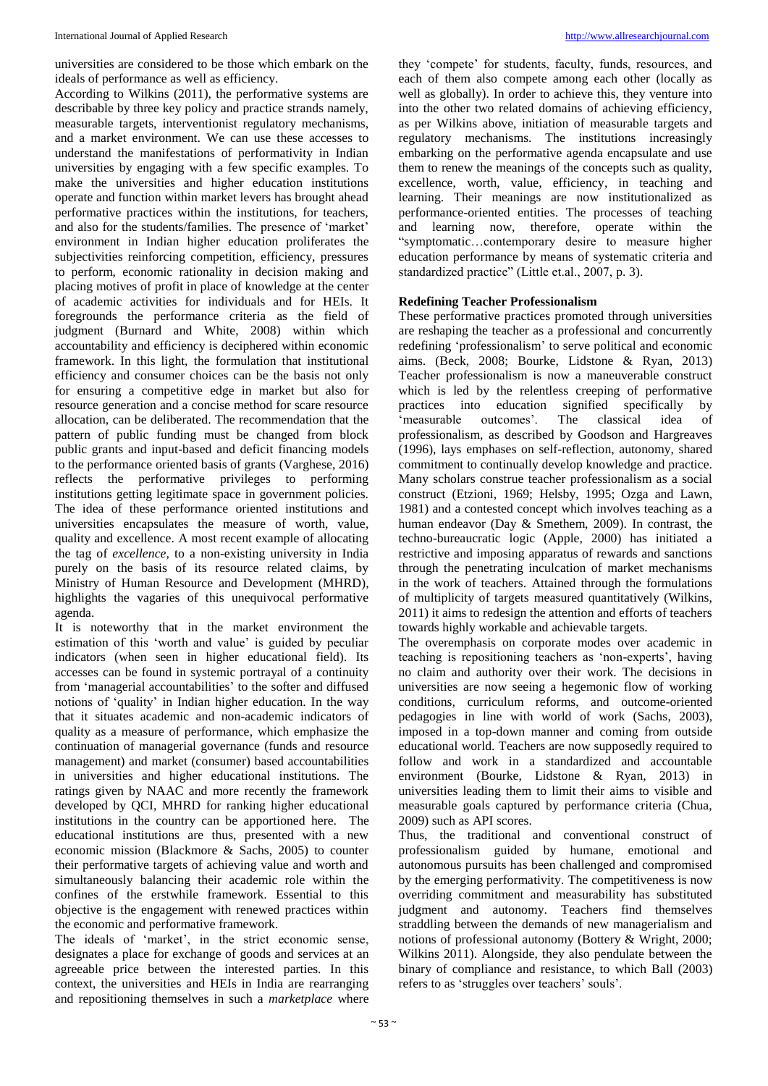universities are considered to be those which embark on the ideals of performance as well as efficiency.

According to Wilkins (2011), the performative systems are describable by three key policy and practice strands namely, measurable targets, interventionist regulatory mechanisms, and a market environment. We can use these accesses to understand the manifestations of performativity in Indian universities by engaging with a few specific examples. To make the universities and higher education institutions operate and function within market levers has brought ahead performative practices within the institutions, for teachers, and also for the students/families. The presence of 'market' environment in Indian higher education proliferates the subjectivities reinforcing competition, efficiency, pressures to perform, economic rationality in decision making and placing motives of profit in place of knowledge at the center of academic activities for individuals and for HEIs. It foregrounds the performance criteria as the field of judgment (Burnard and White, 2008) within which accountability and efficiency is deciphered within economic framework. In this light, the formulation that institutional efficiency and consumer choices can be the basis not only for ensuring a competitive edge in market but also for resource generation and a concise method for scare resource allocation, can be deliberated. The recommendation that the pattern of public funding must be changed from block public grants and input-based and deficit financing models to the performance oriented basis of grants (Varghese, 2016) reflects the performative privileges to performing institutions getting legitimate space in government policies. The idea of these performance oriented institutions and universities encapsulates the measure of worth, value, quality and excellence. A most recent example of allocating the tag of *excellence,* to a non-existing university in India purely on the basis of its resource related claims, by Ministry of Human Resource and Development (MHRD), highlights the vagaries of this unequivocal performative agenda.

It is noteworthy that in the market environment the estimation of this 'worth and value' is guided by peculiar indicators (when seen in higher educational field). Its accesses can be found in systemic portrayal of a continuity from 'managerial accountabilities' to the softer and diffused notions of 'quality' in Indian higher education. In the way that it situates academic and non-academic indicators of quality as a measure of performance, which emphasize the continuation of managerial governance (funds and resource management) and market (consumer) based accountabilities in universities and higher educational institutions. The ratings given by NAAC and more recently the framework developed by QCI, MHRD for ranking higher educational institutions in the country can be apportioned here. The educational institutions are thus, presented with a new economic mission (Blackmore & Sachs, 2005) to counter their performative targets of achieving value and worth and simultaneously balancing their academic role within the confines of the erstwhile framework. Essential to this objective is the engagement with renewed practices within the economic and performative framework.

The ideals of 'market', in the strict economic sense, designates a place for exchange of goods and services at an agreeable price between the interested parties. In this context, the universities and HEIs in India are rearranging and repositioning themselves in such a *marketplace* where

they 'compete' for students, faculty, funds, resources, and each of them also compete among each other (locally as well as globally). In order to achieve this, they venture into into the other two related domains of achieving efficiency, as per Wilkins above, initiation of measurable targets and regulatory mechanisms. The institutions increasingly embarking on the performative agenda encapsulate and use them to renew the meanings of the concepts such as quality, excellence, worth, value, efficiency, in teaching and learning. Their meanings are now institutionalized as performance-oriented entities. The processes of teaching and learning now, therefore, operate within the "symptomatic…contemporary desire to measure higher education performance by means of systematic criteria and standardized practice" (Little et.al., 2007, p. 3).

## **Redefining Teacher Professionalism**

These performative practices promoted through universities are reshaping the teacher as a professional and concurrently redefining 'professionalism' to serve political and economic aims. (Beck, 2008; Bourke, Lidstone & Ryan, 2013) Teacher professionalism is now a maneuverable construct which is led by the relentless creeping of performative practices into education signified specifically by 'measurable outcomes'. The classical idea of professionalism, as described by Goodson and Hargreaves (1996), lays emphases on self-reflection, autonomy, shared commitment to continually develop knowledge and practice. Many scholars construe teacher professionalism as a social construct (Etzioni, 1969; Helsby, 1995; Ozga and Lawn, 1981) and a contested concept which involves teaching as a human endeavor (Day & Smethem, 2009). In contrast, the techno-bureaucratic logic (Apple, 2000) has initiated a restrictive and imposing apparatus of rewards and sanctions through the penetrating inculcation of market mechanisms in the work of teachers. Attained through the formulations of multiplicity of targets measured quantitatively (Wilkins, 2011) it aims to redesign the attention and efforts of teachers towards highly workable and achievable targets.

The overemphasis on corporate modes over academic in teaching is repositioning teachers as 'non-experts', having no claim and authority over their work. The decisions in universities are now seeing a hegemonic flow of working conditions, curriculum reforms, and outcome-oriented pedagogies in line with world of work (Sachs, 2003), imposed in a top-down manner and coming from outside educational world. Teachers are now supposedly required to follow and work in a standardized and accountable environment (Bourke, Lidstone & Ryan, 2013) in universities leading them to limit their aims to visible and measurable goals captured by performance criteria (Chua, 2009) such as API scores.

Thus, the traditional and conventional construct of professionalism guided by humane, emotional and autonomous pursuits has been challenged and compromised by the emerging performativity. The competitiveness is now overriding commitment and measurability has substituted judgment and autonomy. Teachers find themselves straddling between the demands of new managerialism and notions of professional autonomy (Bottery & Wright, 2000; Wilkins 2011). Alongside, they also pendulate between the binary of compliance and resistance, to which Ball (2003) refers to as 'struggles over teachers' souls'.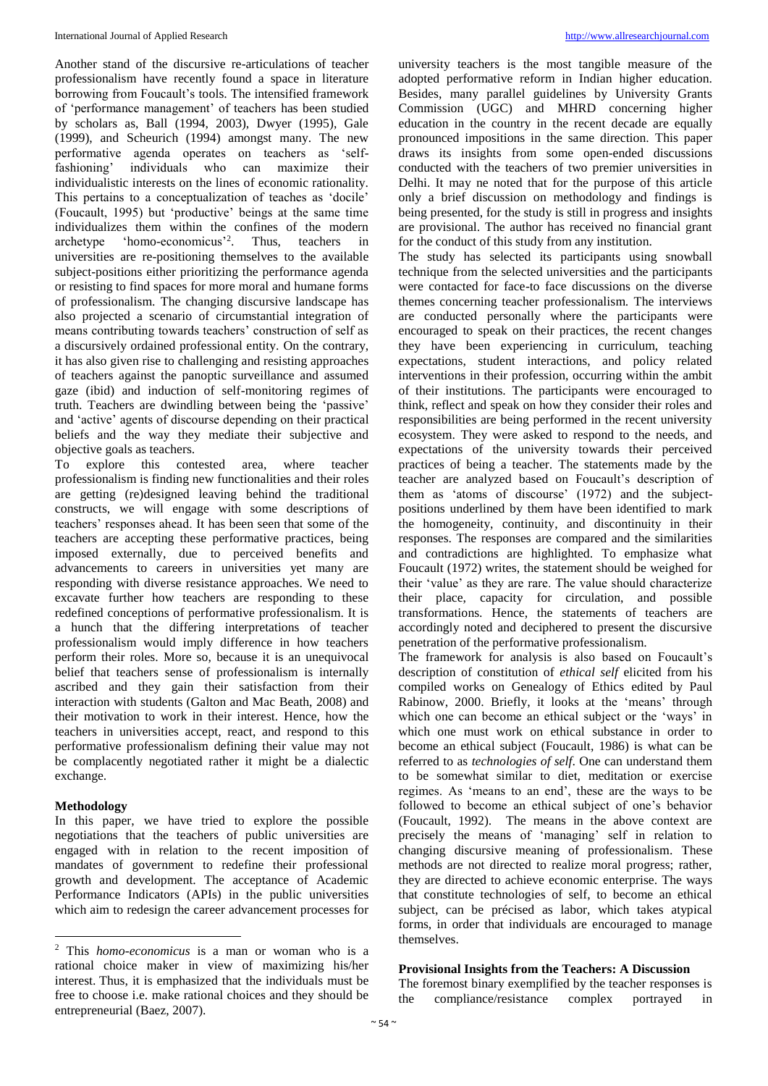Another stand of the discursive re-articulations of teacher professionalism have recently found a space in literature borrowing from Foucault's tools. The intensified framework of 'performance management' of teachers has been studied by scholars as, Ball (1994, 2003), Dwyer (1995), Gale (1999), and Scheurich (1994) amongst many. The new performative agenda operates on teachers as 'selffashioning' individuals who can maximize their individualistic interests on the lines of economic rationality. This pertains to a conceptualization of teaches as 'docile' (Foucault, 1995) but 'productive' beings at the same time individualizes them within the confines of the modern archetype 'homo-economicus'<sup>2</sup> . Thus, teachers in universities are re-positioning themselves to the available subject-positions either prioritizing the performance agenda or resisting to find spaces for more moral and humane forms of professionalism. The changing discursive landscape has also projected a scenario of circumstantial integration of means contributing towards teachers' construction of self as a discursively ordained professional entity. On the contrary, it has also given rise to challenging and resisting approaches of teachers against the panoptic surveillance and assumed gaze (ibid) and induction of self-monitoring regimes of truth. Teachers are dwindling between being the 'passive' and 'active' agents of discourse depending on their practical beliefs and the way they mediate their subjective and objective goals as teachers.

To explore this contested area, where teacher professionalism is finding new functionalities and their roles are getting (re)designed leaving behind the traditional constructs, we will engage with some descriptions of teachers' responses ahead. It has been seen that some of the teachers are accepting these performative practices, being imposed externally, due to perceived benefits and advancements to careers in universities yet many are responding with diverse resistance approaches. We need to excavate further how teachers are responding to these redefined conceptions of performative professionalism. It is a hunch that the differing interpretations of teacher professionalism would imply difference in how teachers perform their roles. More so, because it is an unequivocal belief that teachers sense of professionalism is internally ascribed and they gain their satisfaction from their interaction with students (Galton and Mac Beath, 2008) and their motivation to work in their interest. Hence, how the teachers in universities accept, react, and respond to this performative professionalism defining their value may not be complacently negotiated rather it might be a dialectic exchange.

## **Methodology**

 $\ddot{\phantom{a}}$ 

In this paper, we have tried to explore the possible negotiations that the teachers of public universities are engaged with in relation to the recent imposition of mandates of government to redefine their professional growth and development. The acceptance of Academic Performance Indicators (APIs) in the public universities which aim to redesign the career advancement processes for

university teachers is the most tangible measure of the adopted performative reform in Indian higher education. Besides, many parallel guidelines by University Grants Commission (UGC) and MHRD concerning higher education in the country in the recent decade are equally pronounced impositions in the same direction. This paper draws its insights from some open-ended discussions conducted with the teachers of two premier universities in Delhi. It may ne noted that for the purpose of this article only a brief discussion on methodology and findings is being presented, for the study is still in progress and insights are provisional. The author has received no financial grant for the conduct of this study from any institution.

The study has selected its participants using snowball technique from the selected universities and the participants were contacted for face-to face discussions on the diverse themes concerning teacher professionalism. The interviews are conducted personally where the participants were encouraged to speak on their practices, the recent changes they have been experiencing in curriculum, teaching expectations, student interactions, and policy related interventions in their profession, occurring within the ambit of their institutions. The participants were encouraged to think, reflect and speak on how they consider their roles and responsibilities are being performed in the recent university ecosystem. They were asked to respond to the needs, and expectations of the university towards their perceived practices of being a teacher. The statements made by the teacher are analyzed based on Foucault's description of them as 'atoms of discourse' (1972) and the subjectpositions underlined by them have been identified to mark the homogeneity, continuity, and discontinuity in their responses. The responses are compared and the similarities and contradictions are highlighted. To emphasize what Foucault (1972) writes, the statement should be weighed for their 'value' as they are rare. The value should characterize their place, capacity for circulation, and possible transformations. Hence, the statements of teachers are accordingly noted and deciphered to present the discursive penetration of the performative professionalism.

The framework for analysis is also based on Foucault's description of constitution of *ethical self* elicited from his compiled works on Genealogy of Ethics edited by Paul Rabinow, 2000. Briefly, it looks at the 'means' through which one can become an ethical subject or the 'ways' in which one must work on ethical substance in order to become an ethical subject (Foucault, 1986) is what can be referred to as *technologies of self*. One can understand them to be somewhat similar to diet, meditation or exercise regimes. As 'means to an end', these are the ways to be followed to become an ethical subject of one's behavior (Foucault, 1992). The means in the above context are precisely the means of 'managing' self in relation to changing discursive meaning of professionalism. These methods are not directed to realize moral progress; rather, they are directed to achieve economic enterprise. The ways that constitute technologies of self, to become an ethical subject, can be précised as labor, which takes atypical forms, in order that individuals are encouraged to manage themselves.

# **Provisional Insights from the Teachers: A Discussion**

The foremost binary exemplified by the teacher responses is the compliance/resistance complex portrayed in

<sup>2</sup> This *homo-economicus* is a man or woman who is a rational choice maker in view of maximizing his/her interest. Thus, it is emphasized that the individuals must be free to choose i.e. make rational choices and they should be entrepreneurial (Baez, 2007).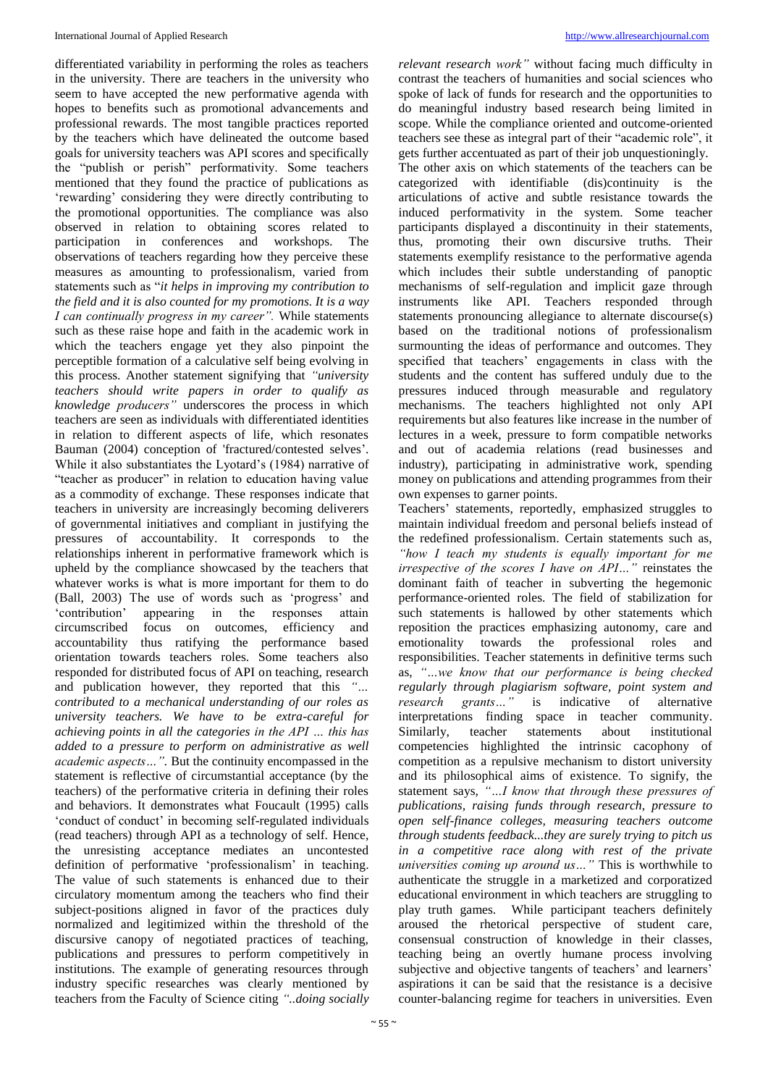differentiated variability in performing the roles as teachers in the university. There are teachers in the university who seem to have accepted the new performative agenda with hopes to benefits such as promotional advancements and professional rewards. The most tangible practices reported by the teachers which have delineated the outcome based goals for university teachers was API scores and specifically the "publish or perish" performativity. Some teachers mentioned that they found the practice of publications as 'rewarding' considering they were directly contributing to the promotional opportunities. The compliance was also observed in relation to obtaining scores related to participation in conferences and workshops. The observations of teachers regarding how they perceive these measures as amounting to professionalism, varied from statements such as "*it helps in improving my contribution to the field and it is also counted for my promotions. It is a way I can continually progress in my career".* While statements such as these raise hope and faith in the academic work in which the teachers engage yet they also pinpoint the perceptible formation of a calculative self being evolving in this process. Another statement signifying that *"university teachers should write papers in order to qualify as knowledge producers"* underscores the process in which teachers are seen as individuals with differentiated identities in relation to different aspects of life, which resonates Bauman (2004) conception of 'fractured/contested selves'. While it also substantiates the Lyotard's (1984) narrative of "teacher as producer" in relation to education having value as a commodity of exchange. These responses indicate that teachers in university are increasingly becoming deliverers of governmental initiatives and compliant in justifying the pressures of accountability. It corresponds to the relationships inherent in performative framework which is upheld by the compliance showcased by the teachers that whatever works is what is more important for them to do (Ball, 2003) The use of words such as 'progress' and 'contribution' appearing in the responses attain circumscribed focus on outcomes, efficiency and accountability thus ratifying the performance based orientation towards teachers roles. Some teachers also responded for distributed focus of API on teaching, research and publication however, they reported that this *"… contributed to a mechanical understanding of our roles as university teachers. We have to be extra-careful for achieving points in all the categories in the API … this has added to a pressure to perform on administrative as well academic aspects…".* But the continuity encompassed in the statement is reflective of circumstantial acceptance (by the teachers) of the performative criteria in defining their roles and behaviors. It demonstrates what Foucault (1995) calls 'conduct of conduct' in becoming self-regulated individuals (read teachers) through API as a technology of self. Hence, the unresisting acceptance mediates an uncontested definition of performative 'professionalism' in teaching. The value of such statements is enhanced due to their circulatory momentum among the teachers who find their subject-positions aligned in favor of the practices duly normalized and legitimized within the threshold of the discursive canopy of negotiated practices of teaching, publications and pressures to perform competitively in institutions. The example of generating resources through industry specific researches was clearly mentioned by teachers from the Faculty of Science citing *"..doing socially* 

*relevant research work"* without facing much difficulty in contrast the teachers of humanities and social sciences who spoke of lack of funds for research and the opportunities to do meaningful industry based research being limited in scope. While the compliance oriented and outcome-oriented teachers see these as integral part of their "academic role", it gets further accentuated as part of their job unquestioningly. The other axis on which statements of the teachers can be categorized with identifiable (dis)continuity is the articulations of active and subtle resistance towards the induced performativity in the system. Some teacher participants displayed a discontinuity in their statements, thus, promoting their own discursive truths. Their statements exemplify resistance to the performative agenda which includes their subtle understanding of panoptic mechanisms of self-regulation and implicit gaze through instruments like API. Teachers responded through statements pronouncing allegiance to alternate discourse(s) based on the traditional notions of professionalism surmounting the ideas of performance and outcomes. They specified that teachers' engagements in class with the students and the content has suffered unduly due to the pressures induced through measurable and regulatory mechanisms. The teachers highlighted not only API requirements but also features like increase in the number of lectures in a week, pressure to form compatible networks and out of academia relations (read businesses and industry), participating in administrative work, spending money on publications and attending programmes from their own expenses to garner points.

Teachers' statements, reportedly, emphasized struggles to maintain individual freedom and personal beliefs instead of the redefined professionalism. Certain statements such as, *"how I teach my students is equally important for me irrespective of the scores I have on API…"* reinstates the dominant faith of teacher in subverting the hegemonic performance-oriented roles. The field of stabilization for such statements is hallowed by other statements which reposition the practices emphasizing autonomy, care and emotionality towards the professional roles and responsibilities. Teacher statements in definitive terms such as, *"…we know that our performance is being checked regularly through plagiarism software, point system and research grants…"* is indicative of alternative interpretations finding space in teacher community. Similarly, teacher statements about institutional competencies highlighted the intrinsic cacophony of competition as a repulsive mechanism to distort university and its philosophical aims of existence. To signify, the statement says, *"…I know that through these pressures of publications, raising funds through research, pressure to open self-finance colleges, measuring teachers outcome through students feedback...they are surely trying to pitch us in a competitive race along with rest of the private universities coming up around us…"* This is worthwhile to authenticate the struggle in a marketized and corporatized educational environment in which teachers are struggling to play truth games. While participant teachers definitely aroused the rhetorical perspective of student care, consensual construction of knowledge in their classes, teaching being an overtly humane process involving subjective and objective tangents of teachers' and learners' aspirations it can be said that the resistance is a decisive counter-balancing regime for teachers in universities. Even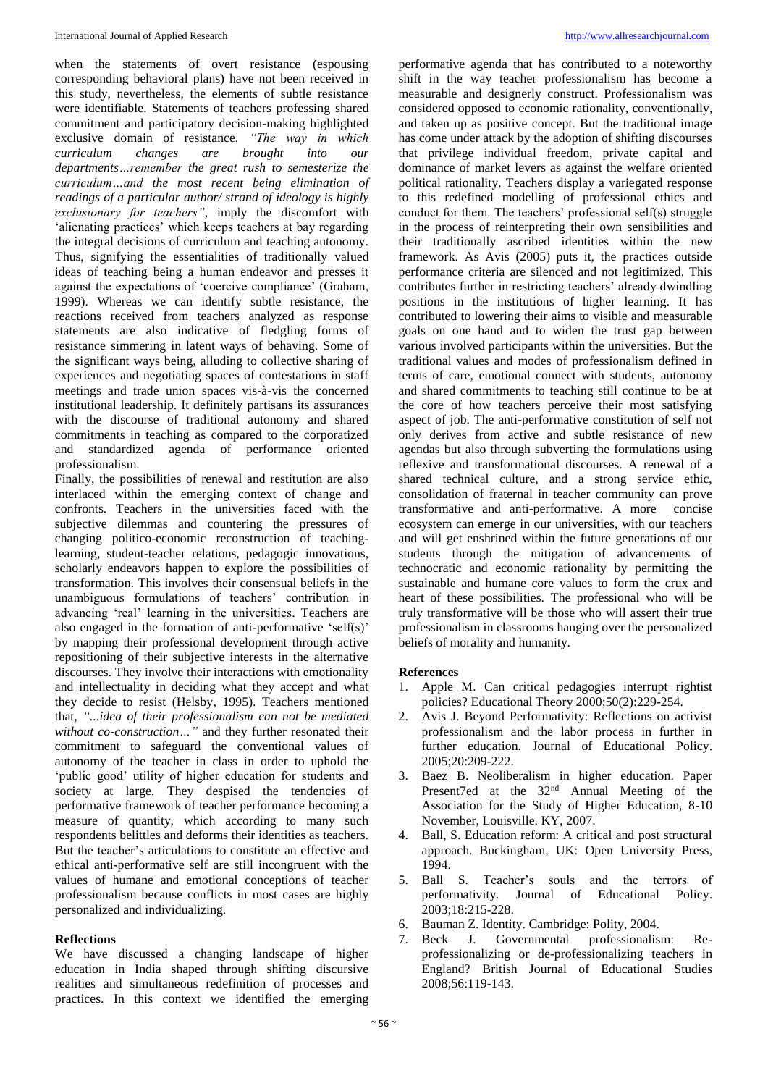when the statements of overt resistance (espousing corresponding behavioral plans) have not been received in this study, nevertheless, the elements of subtle resistance were identifiable. Statements of teachers professing shared commitment and participatory decision-making highlighted exclusive domain of resistance. *"The way in which curriculum changes are brought into our departments…remember the great rush to semesterize the curriculum…and the most recent being elimination of readings of a particular author/ strand of ideology is highly exclusionary for teachers",* imply the discomfort with 'alienating practices' which keeps teachers at bay regarding the integral decisions of curriculum and teaching autonomy. Thus, signifying the essentialities of traditionally valued ideas of teaching being a human endeavor and presses it against the expectations of 'coercive compliance' (Graham, 1999). Whereas we can identify subtle resistance, the reactions received from teachers analyzed as response statements are also indicative of fledgling forms of resistance simmering in latent ways of behaving. Some of the significant ways being, alluding to collective sharing of experiences and negotiating spaces of contestations in staff meetings and trade union spaces vis-à-vis the concerned institutional leadership. It definitely partisans its assurances with the discourse of traditional autonomy and shared commitments in teaching as compared to the corporatized and standardized agenda of performance oriented professionalism.

Finally, the possibilities of renewal and restitution are also interlaced within the emerging context of change and confronts. Teachers in the universities faced with the subjective dilemmas and countering the pressures of changing politico-economic reconstruction of teachinglearning, student-teacher relations, pedagogic innovations, scholarly endeavors happen to explore the possibilities of transformation. This involves their consensual beliefs in the unambiguous formulations of teachers' contribution in advancing 'real' learning in the universities. Teachers are also engaged in the formation of anti-performative 'self(s)' by mapping their professional development through active repositioning of their subjective interests in the alternative discourses. They involve their interactions with emotionality and intellectuality in deciding what they accept and what they decide to resist (Helsby, 1995). Teachers mentioned that, *"...idea of their professionalism can not be mediated without co-construction…"* and they further resonated their commitment to safeguard the conventional values of autonomy of the teacher in class in order to uphold the 'public good' utility of higher education for students and society at large. They despised the tendencies of performative framework of teacher performance becoming a measure of quantity, which according to many such respondents belittles and deforms their identities as teachers. But the teacher's articulations to constitute an effective and ethical anti-performative self are still incongruent with the values of humane and emotional conceptions of teacher professionalism because conflicts in most cases are highly personalized and individualizing.

## **Reflections**

We have discussed a changing landscape of higher education in India shaped through shifting discursive realities and simultaneous redefinition of processes and practices. In this context we identified the emerging

performative agenda that has contributed to a noteworthy shift in the way teacher professionalism has become a measurable and designerly construct. Professionalism was considered opposed to economic rationality, conventionally, and taken up as positive concept. But the traditional image has come under attack by the adoption of shifting discourses that privilege individual freedom, private capital and dominance of market levers as against the welfare oriented political rationality. Teachers display a variegated response to this redefined modelling of professional ethics and conduct for them. The teachers' professional self(s) struggle in the process of reinterpreting their own sensibilities and their traditionally ascribed identities within the new framework. As Avis (2005) puts it, the practices outside performance criteria are silenced and not legitimized. This contributes further in restricting teachers' already dwindling positions in the institutions of higher learning. It has contributed to lowering their aims to visible and measurable goals on one hand and to widen the trust gap between various involved participants within the universities. But the traditional values and modes of professionalism defined in terms of care, emotional connect with students, autonomy and shared commitments to teaching still continue to be at the core of how teachers perceive their most satisfying aspect of job. The anti-performative constitution of self not only derives from active and subtle resistance of new agendas but also through subverting the formulations using reflexive and transformational discourses. A renewal of a shared technical culture, and a strong service ethic, consolidation of fraternal in teacher community can prove transformative and anti-performative. A more concise ecosystem can emerge in our universities, with our teachers and will get enshrined within the future generations of our students through the mitigation of advancements of technocratic and economic rationality by permitting the sustainable and humane core values to form the crux and heart of these possibilities. The professional who will be truly transformative will be those who will assert their true professionalism in classrooms hanging over the personalized beliefs of morality and humanity.

## **References**

- 1. Apple M. Can critical pedagogies interrupt rightist policies? Educational Theory 2000;50(2):229-254.
- 2. Avis J. Beyond Performativity: Reflections on activist professionalism and the labor process in further in further education. Journal of Educational Policy. 2005;20:209-222.
- 3. Baez B. Neoliberalism in higher education. Paper Present7ed at the 32<sup>nd</sup> Annual Meeting of the Association for the Study of Higher Education, 8-10 November, Louisville. KY, 2007.
- 4. Ball, S. Education reform: A critical and post structural approach. Buckingham, UK: Open University Press, 1994.
- 5. Ball S. Teacher's souls and the terrors of performativity. Journal of Educational Policy. 2003;18:215-228.
- 6. Bauman Z. Identity. Cambridge: Polity, 2004.
- 7. Beck J. Governmental professionalism: Reprofessionalizing or de-professionalizing teachers in England? British Journal of Educational Studies 2008;56:119-143.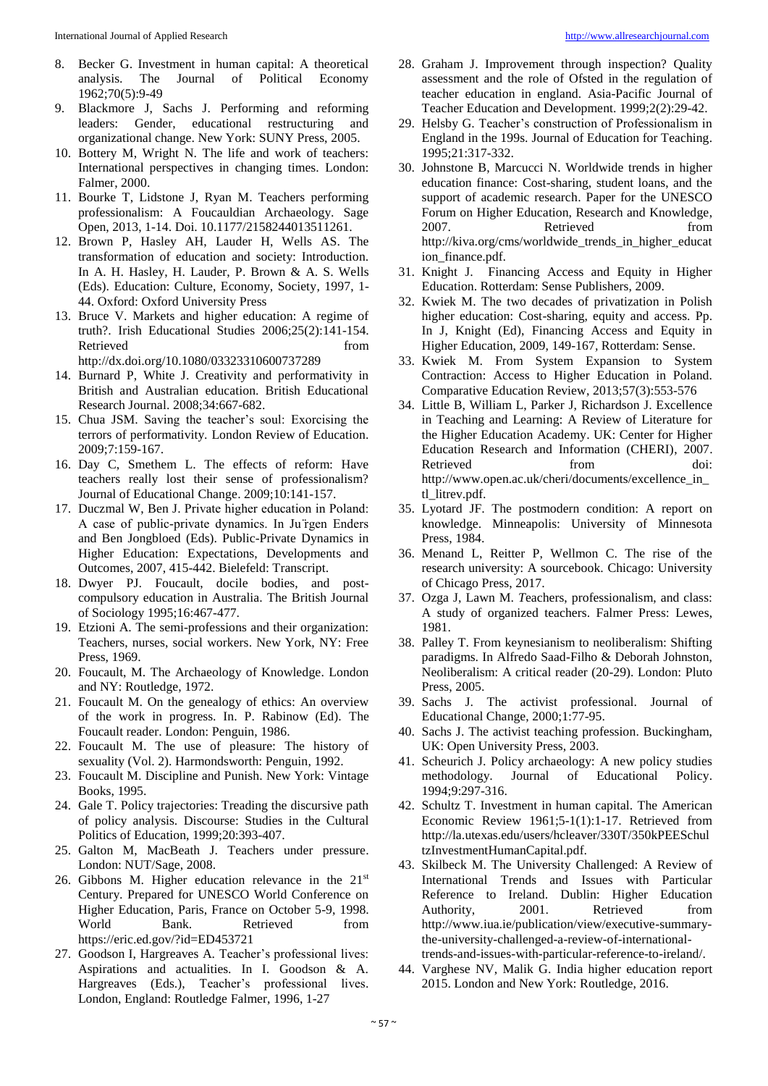- 8. Becker G. Investment in human capital: A theoretical analysis. The Journal of Political Economy 1962;70(5):9-49
- 9. Blackmore J, Sachs J. Performing and reforming leaders: Gender, educational restructuring and organizational change. New York: SUNY Press, 2005.
- 10. Bottery M, Wright N. The life and work of teachers: International perspectives in changing times. London: Falmer, 2000.
- 11. Bourke T, Lidstone J, Ryan M. Teachers performing professionalism: A Foucauldian Archaeology. Sage Open, 2013, 1-14. Doi. 10.1177/2158244013511261.
- 12. Brown P, Hasley AH, Lauder H, Wells AS. The transformation of education and society: Introduction. In A. H. Hasley, H. Lauder, P. Brown & A. S. Wells (Eds). Education: Culture, Economy, Society, 1997, 1- 44. Oxford: Oxford University Press
- 13. Bruce V. Markets and higher education: A regime of truth?. Irish Educational Studies 2006;25(2):141-154. Retrieved from the state of  $\sim$ http://dx.doi.org/10.1080/03323310600737289
- 14. Burnard P, White J. Creativity and performativity in British and Australian education. British Educational Research Journal. 2008;34:667-682.
- 15. Chua JSM. Saving the teacher's soul: Exorcising the terrors of performativity. London Review of Education. 2009;7:159-167.
- 16. Day C, Smethem L. The effects of reform: Have teachers really lost their sense of professionalism? Journal of Educational Change. 2009;10:141-157.
- 17. Duczmal W, Ben J. Private higher education in Poland: A case of public-private dynamics. In Ju ̈rgen Enders and Ben Jongbloed (Eds). Public-Private Dynamics in Higher Education: Expectations, Developments and Outcomes, 2007, 415-442. Bielefeld: Transcript.
- 18. Dwyer PJ. Foucault, docile bodies, and postcompulsory education in Australia. The British Journal of Sociology 1995;16:467-477.
- 19. Etzioni A. The semi-professions and their organization: Teachers, nurses, social workers. New York, NY: Free Press, 1969.
- 20. Foucault, M. The Archaeology of Knowledge. London and NY: Routledge, 1972.
- 21. Foucault M. On the genealogy of ethics: An overview of the work in progress. In. P. Rabinow (Ed). The Foucault reader. London: Penguin, 1986.
- 22. Foucault M. The use of pleasure: The history of sexuality (Vol. 2). Harmondsworth: Penguin, 1992.
- 23. Foucault M. Discipline and Punish. New York: Vintage Books, 1995.
- 24. Gale T. Policy trajectories: Treading the discursive path of policy analysis. Discourse: Studies in the Cultural Politics of Education, 1999;20:393-407.
- 25. Galton M, MacBeath J. Teachers under pressure. London: NUT/Sage, 2008.
- 26. Gibbons M. Higher education relevance in the  $21<sup>st</sup>$ Century. Prepared for UNESCO World Conference on Higher Education, Paris, France on October 5-9, 1998. World Bank. Retrieved from https://eric.ed.gov/?id=ED453721
- 27. Goodson I, Hargreaves A. Teacher's professional lives: Aspirations and actualities. In I. Goodson & A. Hargreaves (Eds.), Teacher's professional lives. London, England: Routledge Falmer, 1996, 1-27
- 28. Graham J. Improvement through inspection? Quality assessment and the role of Ofsted in the regulation of teacher education in england. Asia-Pacific Journal of Teacher Education and Development. 1999;2(2):29-42.
- 29. Helsby G. Teacher's construction of Professionalism in England in the 199s. Journal of Education for Teaching. 1995;21:317-332.
- 30. Johnstone B, Marcucci N. Worldwide trends in higher education finance: Cost-sharing, student loans, and the support of academic research. Paper for the UNESCO Forum on Higher Education, Research and Knowledge, 2007. Retrieved from http://kiva.org/cms/worldwide\_trends\_in\_higher\_educat ion finance.pdf.
- 31. Knight J. Financing Access and Equity in Higher Education. Rotterdam: Sense Publishers, 2009.
- 32. Kwiek M. The two decades of privatization in Polish higher education: Cost-sharing, equity and access. Pp. In J, Knight (Ed), Financing Access and Equity in Higher Education, 2009, 149-167*,* Rotterdam: Sense.
- 33. Kwiek M. From System Expansion to System Contraction: Access to Higher Education in Poland. Comparative Education Review, 2013;57(3):553-576
- 34. Little B, William L, Parker J, Richardson J. Excellence in Teaching and Learning: A Review of Literature for the Higher Education Academy. UK: Center for Higher Education Research and Information (CHERI), 2007. Retrieved from doi: http://www.open.ac.uk/cheri/documents/excellence\_in\_ tl\_litrev.pdf.
- 35. Lyotard JF. The postmodern condition: A report on knowledge. Minneapolis: University of Minnesota Press, 1984.
- 36. Menand L, Reitter P, Wellmon C. The rise of the research university: A sourcebook. Chicago: University of Chicago Press, 2017.
- 37. Ozga J, Lawn M. *T*eachers, professionalism, and class: A study of organized teachers. Falmer Press: Lewes, 1981.
- 38. Palley T. From keynesianism to neoliberalism: Shifting paradigms. In Alfredo Saad-Filho & Deborah Johnston, Neoliberalism: A critical reader (20-29). London: Pluto Press, 2005.
- 39. Sachs J. The activist professional. Journal of Educational Change, 2000;1:77-95.
- 40. Sachs J. The activist teaching profession. Buckingham, UK: Open University Press, 2003.
- 41. Scheurich J. Policy archaeology: A new policy studies methodology. Journal of Educational Policy. 1994;9:297-316.
- 42. Schultz T. Investment in human capital. The American Economic Review 1961;5-1(1):1-17. Retrieved from http://la.utexas.edu/users/hcleaver/330T/350kPEESchul tzInvestmentHumanCapital.pdf.
- 43. Skilbeck M. The University Challenged: A Review of International Trends and Issues with Particular Reference to Ireland. Dublin: Higher Education Authority, 2001. Retrieved from http://www.iua.ie/publication/view/executive-summarythe-university-challenged-a-review-of-internationaltrends-and-issues-with-particular-reference-to-ireland/.
- 44. Varghese NV, Malik G. India higher education report 2015. London and New York: Routledge, 2016.